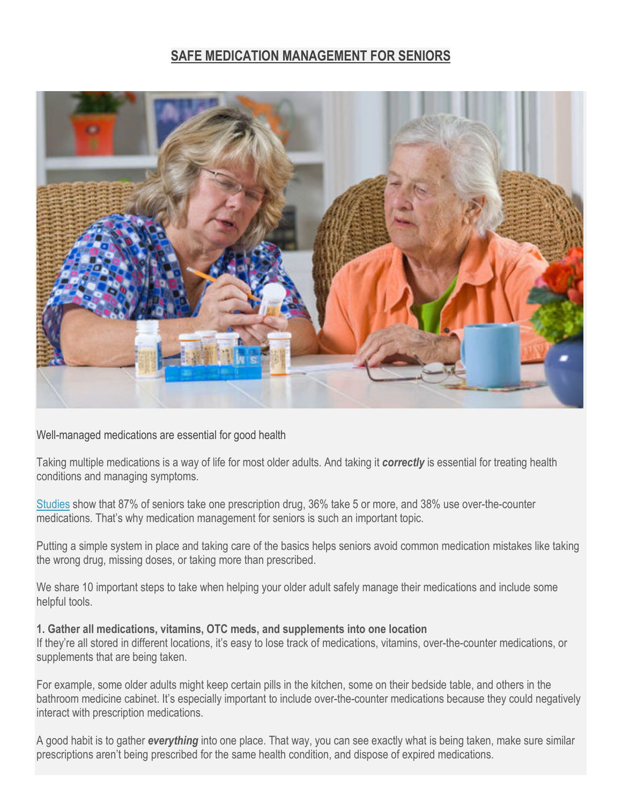# **SAFE MEDICATION MANAGEMENT FOR SENIORS**



Well-managed medications are essential for good health

Taking multiple medications is a way of life for most older adults. And taking it *correctly* is essential for treating health conditions and managing symptoms.

[Studies](http://www.uptodate.com/contents/drug-prescribing-for-older-adults) show that 87% of seniors take one prescription drug, 36% take 5 or more, and 38% use over-the-counter medications. That's why medication management for seniors is such an important topic.

Putting a simple system in place and taking care of the basics helps seniors avoid common medication mistakes like taking the wrong drug, missing doses, or taking more than prescribed.

We share 10 important steps to take when helping your older adult safely manage their medications and include some helpful tools.

#### **1. Gather all medications, vitamins, OTC meds, and supplements into one location**

If they're all stored in different locations, it's easy to lose track of medications, vitamins, over-the-counter medications, or supplements that are being taken.

For example, some older adults might keep certain pills in the kitchen, some on their bedside table, and others in the bathroom medicine cabinet. It's especially important to include over-the-counter medications because they could negatively interact with prescription medications.

A good habit is to gather *everything* into one place. That way, you can see exactly what is being taken, make sure similar prescriptions aren't being prescribed for the same health condition, and dispose of expired medications.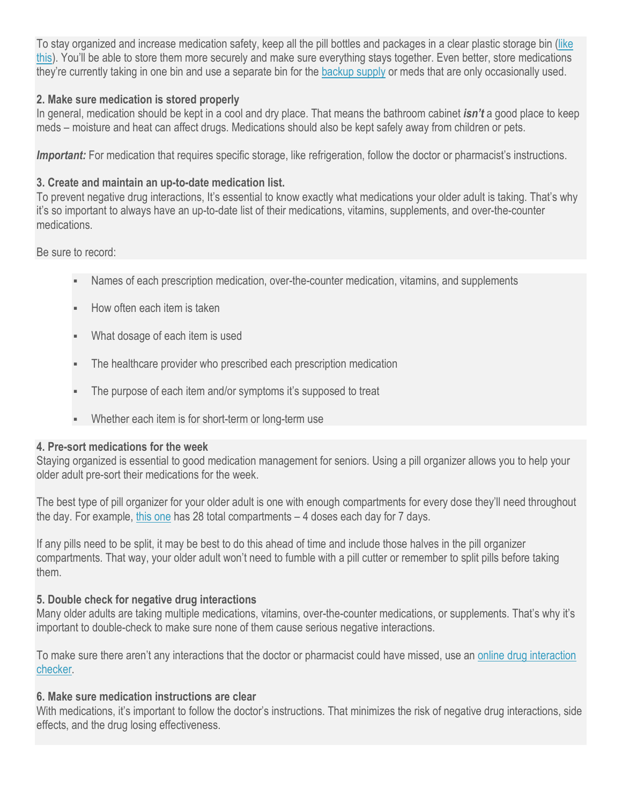To stay organized and increase medication safety, keep all the pill bottles and packages in a clear plastic storage bin [\(like](http://amzn.to/2wwrAhm)  [this\)](http://amzn.to/2wwrAhm). You'll be able to store them more securely and make sure everything stays together. Even better, store medications they're currently taking in one bin and use a separate bin for the [backup supply](http://dailycaring.com/why-seniors-need-extra-medicine-for-emergencies/) or meds that are only occasionally used.

## **2. Make sure medication is stored properly**

In general, medication should be kept in a cool and dry place. That means the bathroom cabinet *isn't* a good place to keep meds – moisture and heat can affect drugs. Medications should also be kept safely away from children or pets.

*Important:* For medication that requires specific storage, like refrigeration, follow the doctor or pharmacist's instructions.

# **3. Create and maintain an up-to-date medication list.**

To prevent negative drug interactions, It's essential to know exactly what medications your older adult is taking. That's why it's so important to always have an up-to-date list of their medications, vitamins, supplements, and over-the-counter medications.

Be sure to record:

- Names of each prescription medication, over-the-counter medication, vitamins, and supplements
- How often each item is taken
- What dosage of each item is used
- The healthcare provider who prescribed each prescription medication
- The purpose of each item and/or symptoms it's supposed to treat
- Whether each item is for short-term or long-term use

## **4. Pre-sort medications for the week**

Staying organized is essential to good medication management for seniors. Using a pill organizer allows you to help your older adult pre-sort their medications for the week.

The best type of pill organizer for your older adult is one with enough compartments for every dose they'll need throughout the day. For example, [this one](http://amzn.to/2iRGjrC) has 28 total compartments – 4 doses each day for 7 days.

If any pills need to be split, it may be best to do this ahead of time and include those halves in the pill organizer compartments. That way, your older adult won't need to fumble with a pill cutter or remember to split pills before taking them.

# **5. Double check for negative drug interactions**

Many older adults are taking multiple medications, vitamins, over-the-counter medications, or supplements. That's why it's important to double-check to make sure none of them cause serious negative interactions.

To make sure there aren't any interactions that the doctor or pharmacist could have missed, use an [online drug interaction](http://dailycaring.com/check-medications-for-dangerous-drug-interactions/)  [checker.](http://dailycaring.com/check-medications-for-dangerous-drug-interactions/)

## **6. Make sure medication instructions are clear**

With medications, it's important to follow the doctor's instructions. That minimizes the risk of negative drug interactions, side effects, and the drug losing effectiveness.